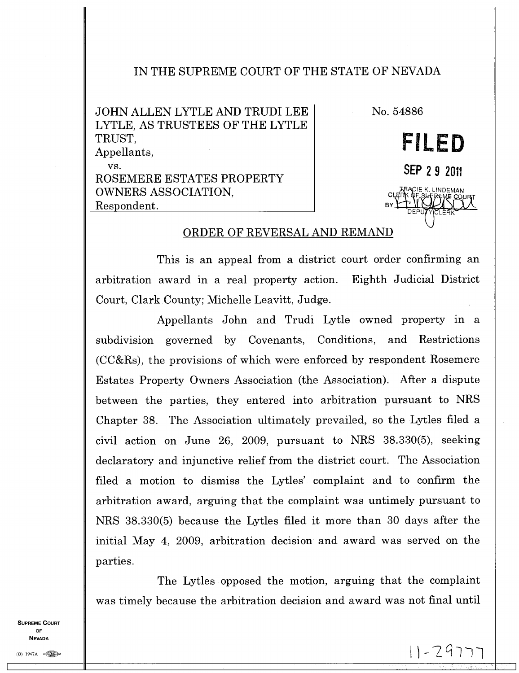## IN THE SUPREME COURT OF THE STATE OF NEVADA

JOHN ALLEN LYTLE AND TRUDI LEE LYTLE, AS TRUSTEES OF THE LYTLE TRUST, Appellants, vs. ROSEMERE ESTATES PROPERTY OWNERS ASSOCIATION, Respondent.

IE K. LINDEMAN CLAM PL.SAPPENE CO BY, DEPUTYLCLERK No. 54886 **FILED SEP 2 9 2011** 

## ORDER OF REVERSAL AND REMAND

This is an appeal from a district court order confirming an arbitration award in a real property action. Eighth Judicial District Court, Clark County; Michelle Leavitt, Judge.

Appellants John and Trudi Lytle owned property in a subdivision governed by Covenants, Conditions, and Restrictions (CC&Rs), the provisions of which were enforced by respondent Rosemere Estates Property Owners Association (the Association). After a dispute between the parties, they entered into arbitration pursuant to NRS Chapter 38. The Association ultimately prevailed, so the Lytles filed a civil action on June 26, 2009, pursuant to NRS 38.330(5), seeking declaratory and injunctive relief from the district court. The Association filed a motion to dismiss the Lytles' complaint and to confirm the arbitration award, arguing that the complaint was untimely pursuant to NRS 38.330(5) because the Lytles filed it more than 30 days after the initial May 4, 2009, arbitration decision and award was served on the parties.

The Lytles opposed the motion, arguing that the complaint was timely because the arbitration decision and award was not final until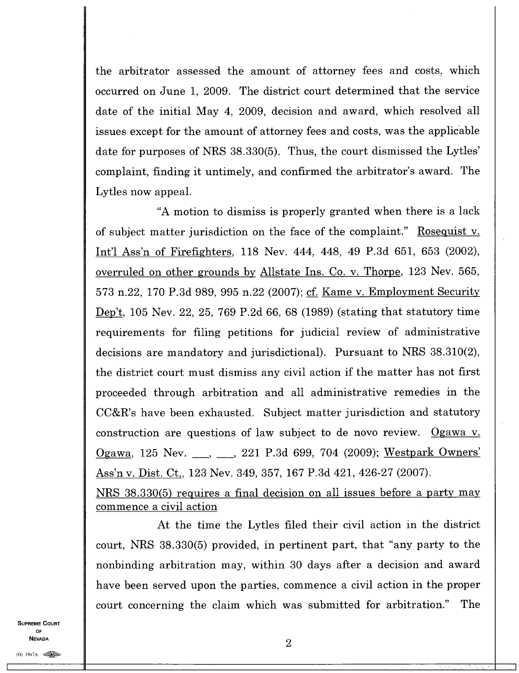the arbitrator assessed the amount of attorney fees and costs, which occurred on June 1, 2009. The district court determined that the service date of the initial May 4, 2009, decision and award, which resolved all issues except for the amount of attorney fees and costs, was the applicable date for purposes of NRS 38.330(5). Thus, the court dismissed the Lytles' complaint, finding it untimely, and confirmed the arbitrator's award. The Lytles now appeal.

"A motion to dismiss is properly granted when there is a lack of subject matter jurisdiction on the face of the complaint." Rosequist v. Int'l Ass'n of Firefighters, 118 Nev. 444, 448, 49 P.3d 651, 653 (2002), overruled on other grounds by Allstate Ins. Co. v. Thorpe, 123 Nev. 565, 573 n.22, 170 P.3d 989, 995 n.22 (2007); cf. Kame v. Employment Security Dep't, 105 Nev. 22, 25, 769 P.2d 66, 68 (1989) (stating that statutory time requirements for filing petitions for judicial review of administrative decisions are mandatory and jurisdictional). Pursuant to NRS 38.310(2), the district court must dismiss any civil action if the matter has not first proceeded through arbitration and all administrative remedies in the CC&R's have been exhausted. Subject matter jurisdiction and statutory construction are questions of law subject to de novo review. Ogawa v. Ogawa, 125 Nev. , , , 221 P.3d 699, 704 (2009); Westpark Owners' Ass'n v. Dist. Ct., 123 Nev. 349, 357, 167 P.3d 421, 426-27 (2007).

NRS 38.330(5) requires a final decision on all issues before a party may commence a civil action

At the time the Lytles filed their civil action in the district court, NRS 38.330(5) provided, in pertinent part, that "any party to the nonbinding arbitration may, within 30 days after a decision and award have been served upon the parties, commence a civil action in the proper court concerning the claim which was submitted for arbitration." The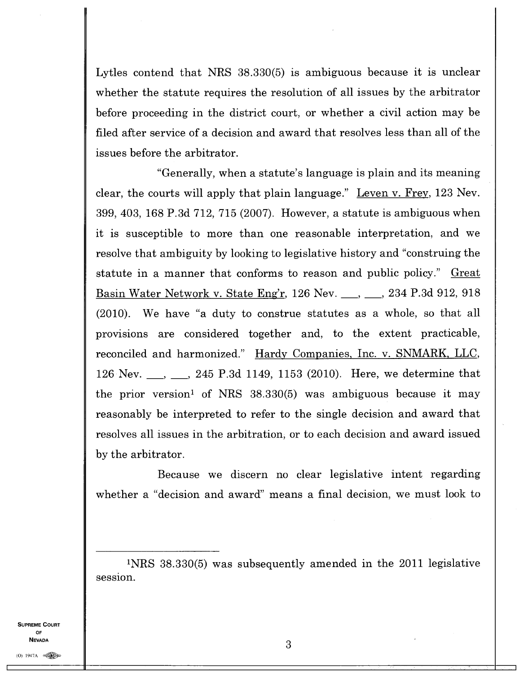Lytles contend that NRS 38.330(5) is ambiguous because it is unclear whether the statute requires the resolution of all issues by the arbitrator before proceeding in the district court, or whether a civil action may be filed after service of a decision and award that resolves less than all of the issues before the arbitrator.

"Generally, when a statute's language is plain and its meaning clear, the courts will apply that plain language." Leven v. Frey,123 Nev. 399, 403, 168 P.3d 712, 715 (2007). However, a statute is ambiguous when it is susceptible to more than one reasonable interpretation, and we resolve that ambiguity by looking to legislative history and "construing the statute in a manner that conforms to reason and public policy." Great Basin Water Network v. State Eng'r, 126 Nev. \_\_, \_\_, 234 P.3d 912, 918 (2010). We have "a duty to construe statutes as a whole, so that all provisions are considered together and, to the extent practicable, reconciled and harmonized." Hardy Companies, Inc. v. SNMARK, LLC, 126 Nev. \_\_, \_\_, 245 P.3d 1149, 1153 (2010). Here, we determine that the prior version' of NRS 38.330(5) was ambiguous because it may reasonably be interpreted to refer to the single decision and award that resolves all issues in the arbitration, or to each decision and award issued by the arbitrator.

Because we discern no clear legislative intent regarding whether a "decision and award" means a final decision, we must look to

<sup>1</sup>NRS 38.330(5) was subsequently amended in the 2011 legislative session.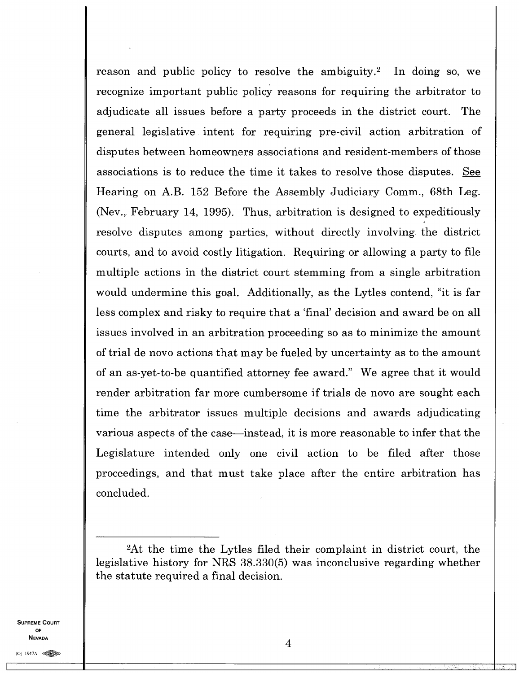reason and public policy to resolve the ambiguity.<sup>2</sup> In doing so, we recognize important public policy reasons for requiring the arbitrator to adjudicate all issues before a party proceeds in the district court. The general legislative intent for requiring pre-civil action arbitration of disputes between homeowners associations and resident-members of those associations is to reduce the time it takes to resolve those disputes. See Hearing on A.B. 152 Before the Assembly Judiciary Comm., 68th Leg. (Nev., February 14, 1995). Thus, arbitration is designed to expeditiously resolve disputes among parties, without directly involving the district courts, and to avoid costly litigation. Requiring or allowing a party to file multiple actions in the district court stemming from a single arbitration would undermine this goal. Additionally, as the Lytles contend, "it is far less complex and risky to require that a 'final' decision and award be on all issues involved in an arbitration proceeding so as to minimize the amount of trial de novo actions that may be fueled by uncertainty as to the amount of an as-yet-to-be quantified attorney fee award." We agree that it would render arbitration far more cumbersome if trials de novo are sought each time the arbitrator issues multiple decisions and awards adjudicating various aspects of the case—instead, it is more reasonable to infer that the Legislature intended only one civil action to be filed after those proceedings, and that must take place after the entire arbitration has concluded.

<sup>2</sup>At the time the Lytles filed their complaint in district court, the legislative history for NRS 38.330(5) was inconclusive regarding whether the statute required a final decision.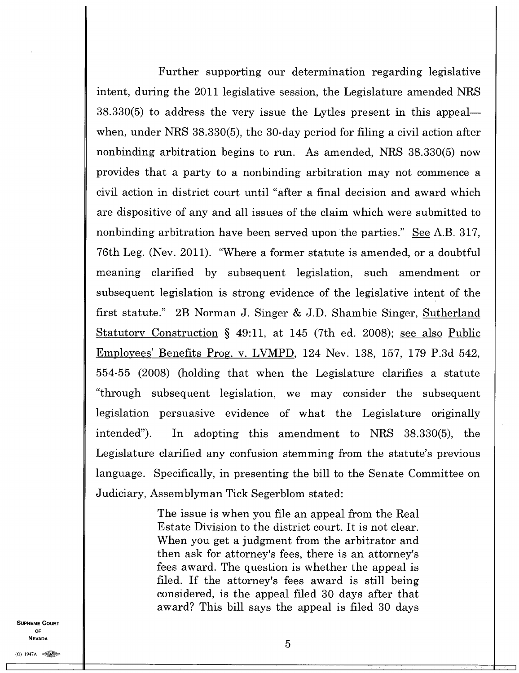Further supporting our determination regarding legislative intent, during the 2011 legislative session, the Legislature amended NRS 38.330(5) to address the very issue the Lytles present in this appeal when, under NRS 38.330(5), the 30-day period for filing a civil action after nonbinding arbitration begins to run. As amended, NRS 38.330(5) now provides that a party to a nonbinding arbitration may not commence a civil action in district court until "after a final decision and award which are dispositive of any and all issues of the claim which were submitted to nonbinding arbitration have been served upon the parties." See A.B. 317, 76th Leg. (Nev. 2011). "Where a former statute is amended, or a doubtful meaning clarified by subsequent legislation, such amendment or subsequent legislation is strong evidence of the legislative intent of the first statute." 2B Norman J. Singer & J.D. Shambie Singer, Sutherland Statutory Construction § 49:11, at 145 (7th ed. 2008); see also Public Employees' Benefits Prog. v. LVIVIPD,124 Nev. 138, 157, 179 P.3d 542, 554-55 (2008) (holding that when the Legislature clarifies a statute "through subsequent legislation, we may consider the subsequent legislation persuasive evidence of what the Legislature originally intended"). In adopting this amendment to NRS 38.330(5), the Legislature clarified any confusion stemming from the statute's previous language. Specifically, in presenting the bill to the Senate Committee on Judiciary, Assemblyman Tick Segerblom stated:

> The issue is when you file an appeal from the Real Estate Division to the district court. It is not clear. When you get a judgment from the arbitrator and then ask for attorney's fees, there is an attorney's fees award. The question is whether the appeal is filed. If the attorney's fees award is still being considered, is the appeal filed 30 days after that award? This bill says the appeal is filed 30 days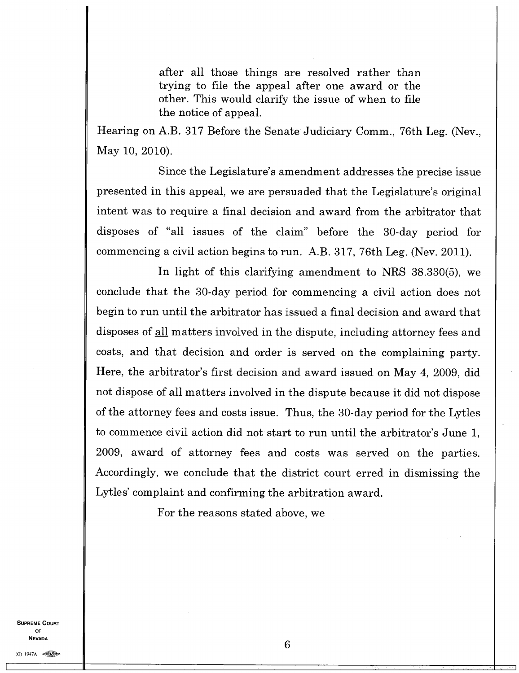after all those things are resolved rather than trying to file the appeal after one award or the other. This would clarify the issue of when to file the notice of appeal.

Hearing on A.B. 317 Before the Senate Judiciary Comm., 76th Leg. (Nev., May 10, 2010).

Since the Legislature's amendment addresses the precise issue presented in this appeal, we are persuaded that the Legislature's original intent was to require a final decision and award from the arbitrator that disposes of "all issues of the claim" before the 30-day period for commencing a civil action begins to run. A.B. 317, 76th Leg. (Nev. 2011).

In light of this clarifying amendment to NRS 38.330(5), we conclude that the 30-day period for commencing a civil action does not begin to run until the arbitrator has issued a final decision and award that disposes of all matters involved in the dispute, including attorney fees and costs, and that decision and order is served on the complaining party. Here, the arbitrator's first decision and award issued on May 4, 2009, did not dispose of all matters involved in the dispute because it did not dispose of the attorney fees and costs issue. Thus, the 30-day period for the Lytles to commence civil action did not start to run until the arbitrator's June 1, 2009, award of attorney fees and costs was served on the parties. Accordingly, we conclude that the district court erred in dismissing the Lytles' complaint and confirming the arbitration award.

For the reasons stated above, we